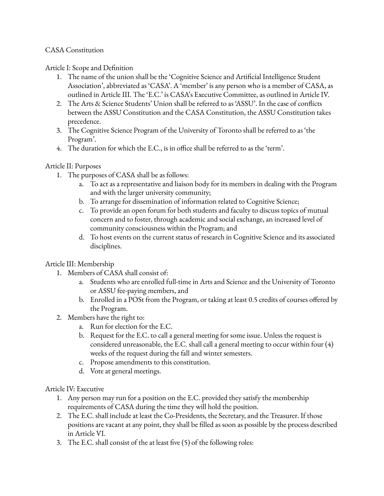## CASA Constitution

## Article I: Scope and Definition

- 1. The name of the union shall be the 'Cognitive Science and Artificial Intelligence Student Association', abbreviated as 'CASA'. A 'member' is any person who is a member of CASA, as outlined in Article III. The 'E.C.' is CASA's Executive Committee, as outlined in Article IV.
- 2. The Arts & Science Students' Union shall be referred to as 'ASSU'. In the case of conflicts between the ASSU Constitution and the CASA Constitution, the ASSU Constitution takes precedence.
- 3. The Cognitive Science Program of the University of Toronto shall be referred to as 'the Program'.
- 4. The duration for which the E.C., is in office shall be referred to as the 'term'.

## Article II: Purposes

- 1. The purposes of CASA shall be as follows:
	- a. To act as a representative and liaison body for its members in dealing with the Program and with the larger university community;
	- b. To arrange for dissemination of information related to Cognitive Science;
	- c. To provide an open forum for both students and faculty to discuss topics of mutual concern and to foster, through academic and social exchange, an increased level of community consciousness within the Program; and
	- d. To host events on the current status of research in Cognitive Science and its associated disciplines.

# Article III: Membership

- 1. Members of CASA shall consist of:
	- a. Students who are enrolled full-time in Arts and Science and the University of Toronto or ASSU fee-paying members, and
	- b. Enrolled in a POSt from the Program, or taking at least 0.5 credits of courses offered by the Program.
- 2. Members have the right to:
	- a. Run for election for the E.C.
	- b. Request for the E.C. to call a general meeting for some issue. Unless the request is considered unreasonable, the E.C. shall call a general meeting to occur within four  $(4)$ weeks of the request during the fall and winter semesters.
	- c. Propose amendments to this constitution.
	- d. Vote at general meetings.

### Article IV: Executive

- 1. Any person may run for a position on the E.C. provided they satisfy the membership requirements of CASA during the time they will hold the position.
- 2. The E.C. shall include at least the Co-Presidents, the Secretary, and the Treasurer. If those positions are vacant at any point, they shall be filled as soon as possible by the process described in Article VI.
- 3. The E.C. shall consist of the at least five (5) of the following roles: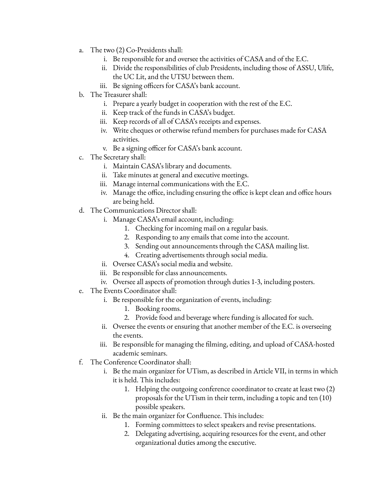- a. The two (2) Co-Presidents shall:
	- i. Be responsible for and oversee the activities of CASA and of the E.C.
	- ii. Divide the responsibilities of club Presidents, including those of ASSU, Ulife, the UC Lit, and the UTSU between them.
	- iii. Be signing officers for CASA's bank account.
- b. The Treasurer shall:
	- i. Prepare a yearly budget in cooperation with the rest of the E.C.
	- ii. Keep track of the funds in CASA's budget.
	- iii. Keep records of all of CASA's receipts and expenses.
	- iv. Write cheques or otherwise refund members for purchases made for CASA activities.
	- v. Be a signing officer for CASA's bank account.
- c. The Secretary shall:
	- i. Maintain CASA's library and documents.
	- ii. Take minutes at general and executive meetings.
	- iii. Manage internal communications with the E.C.
	- iv. Manage the office, including ensuring the office is kept clean and office hours are being held.
- d. The Communications Director shall:
	- i. Manage CASA's email account, including:
		- 1. Checking for incoming mail on a regular basis.
		- 2. Responding to any emails that come into the account.
		- 3. Sending out announcements through the CASA mailing list.
		- 4. Creating advertisements through social media.
	- ii. Oversee CASA's social media and website.
	- iii. Be responsible for class announcements.
	- iv. Oversee all aspects of promotion through duties 1-3, including posters.
- e. The Events Coordinator shall:
	- i. Be responsible for the organization of events, including:
		- 1. Booking rooms.
		- 2. Provide food and beverage where funding is allocated for such.
	- ii. Oversee the events or ensuring that another member of the E.C. is overseeing the events.
	- iii. Be responsible for managing the filming, editing, and upload of CASA-hosted academic seminars.
- f. The Conference Coordinator shall:
	- i. Be the main organizer for UTism, as described in Article VII, in terms in which it is held. This includes:
		- 1. Helping the outgoing conference coordinator to create at least two (2) proposals for the UTism in their term, including a topic and ten (10) possible speakers.
	- ii. Be the main organizer for Confluence. This includes:
		- 1. Forming committees to select speakers and revise presentations.
		- 2. Delegating advertising, acquiring resources for the event, and other organizational duties among the executive.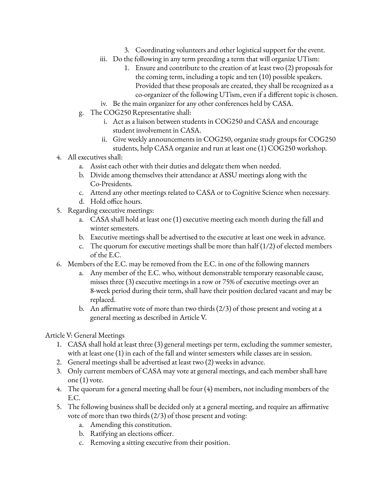- 3. Coordinating volunteers and other logistical support for the event.
- iii. Do the following in any term preceding a term that will organize UTism:
	- 1. Ensure and contribute to the creation of at least two (2) proposals for the coming term, including a topic and ten (10) possible speakers. Provided that these proposals are created, they shall be recognized as a co-organizer of the following UTism, even if a different topic is chosen.
- iv. Be the main organizer for any other conferences held by CASA.
- g. The COG250 Representative shall:
	- i. Act as a liaison between students in COG250 and CASA and encourage student involvement in CASA.
	- ii. Give weekly announcements in COG250, organize study groups for COG250 students, help CASA organize and run at least one (1) COG250 workshop.
- 4. All executives shall:
	- a. Assist each other with their duties and delegate them when needed.
	- b. Divide among themselves their attendance at ASSU meetings along with the Co-Presidents.
	- c. Attend any other meetings related to CASA or to Cognitive Science when necessary.
	- d. Hold office hours.
- 5. Regarding executive meetings:
	- a. CASA shall hold at least one (1) executive meeting each month during the fall and winter semesters.
	- b. Executive meetings shall be advertised to the executive at least one week in advance.
	- c. The quorum for executive meetings shall be more than half  $(1/2)$  of elected members of the E.C.
- 6. Members of the E.C. may be removed from the E.C. in one of the following manners
	- a. Any member of the E.C. who, without demonstrable temporary reasonable cause, misses three (3) executive meetings in a row or 75% of executive meetings over an 8-week period during their term, shall have their position declared vacant and may be replaced.
	- b. An affirmative vote of more than two thirds (2/3) of those present and voting at a general meeting as described in Article V.

### Article V: General Meetings

- 1. CASA shall hold at least three (3) general meetings per term, excluding the summer semester, with at least one (1) in each of the fall and winter semesters while classes are in session.
- 2. General meetings shall be advertised at least two (2) weeks in advance.
- 3. Only current members of CASA may vote at general meetings, and each member shall have one (1) vote.
- 4. The quorum for a general meeting shall be four (4) members, not including members of the E.C.
- 5. The following business shall be decided only at a general meeting, and require an affirmative vote of more than two thirds (2/3) of those present and voting:
	- a. Amending this constitution.
	- b. Ratifying an elections officer.
	- c. Removing a sitting executive from their position.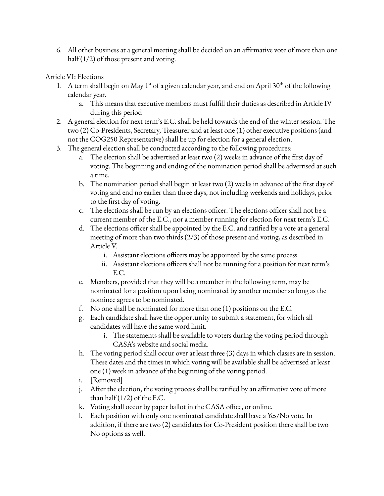6. All other business at a general meeting shall be decided on an affirmative vote of more than one half (1/2) of those present and voting.

Article VI: Elections

- 1. A term shall begin on May 1<sup>st</sup> of a given calendar year, and end on April 30<sup>th</sup> of the following calendar year.
	- a. This means that executive members must fulfill their duties as described in Article IV during this period
- 2. A general election for next term's E.C. shall be held towards the end of the winter session. The two (2) Co-Presidents, Secretary, Treasurer and at least one (1) other executive positions (and not the COG250 Representative) shall be up for election for a general election.
- 3. The general election shall be conducted according to the following procedures:
	- a. The election shall be advertised at least two (2) weeks in advance of the first day of voting. The beginning and ending of the nomination period shall be advertised at such a time.
	- b. The nomination period shall begin at least two (2) weeks in advance of the first day of voting and end no earlier than three days, not including weekends and holidays, prior to the first day of voting.
	- c. The elections shall be run by an elections officer. The elections officer shall not be a current member of the E.C., nor a member running for election for next term's E.C.
	- d. The elections officer shall be appointed by the E.C. and ratified by a vote at a general meeting of more than two thirds (2/3) of those present and voting, as described in Article V.
		- i. Assistant elections officers may be appointed by the same process
		- ii. Assistant elections officers shall not be running for a position for next term's E.C.
	- e. Members, provided that they will be a member in the following term, may be nominated for a position upon being nominated by another member so long as the nominee agrees to be nominated.
	- f. No one shall be nominated for more than one (1) positions on the E.C.
	- g. Each candidate shall have the opportunity to submit a statement, for which all candidates will have the same word limit.
		- i. The statements shall be available to voters during the voting period through CASA's website and social media.
	- h. The voting period shall occur over at least three (3) days in which classes are in session. These dates and the times in which voting will be available shall be advertised at least one (1) week in advance of the beginning of the voting period.
	- i. [Removed]
	- j. After the election, the voting process shall be ratified by an affirmative vote of more than half  $(1/2)$  of the E.C.
	- k. Voting shall occur by paper ballot in the CASA office, or online.
	- l. Each position with only one nominated candidate shall have a Yes/No vote. In addition, if there are two (2) candidates for Co-President position there shall be two No options as well.